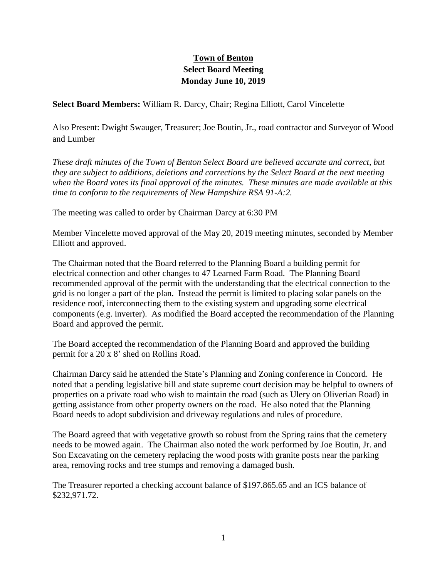## **Town of Benton Select Board Meeting Monday June 10, 2019**

**Select Board Members:** William R. Darcy, Chair; Regina Elliott, Carol Vincelette

Also Present: Dwight Swauger, Treasurer; Joe Boutin, Jr., road contractor and Surveyor of Wood and Lumber

*These draft minutes of the Town of Benton Select Board are believed accurate and correct, but they are subject to additions, deletions and corrections by the Select Board at the next meeting when the Board votes its final approval of the minutes. These minutes are made available at this time to conform to the requirements of New Hampshire RSA 91-A:2.*

The meeting was called to order by Chairman Darcy at 6:30 PM

Member Vincelette moved approval of the May 20, 2019 meeting minutes, seconded by Member Elliott and approved.

The Chairman noted that the Board referred to the Planning Board a building permit for electrical connection and other changes to 47 Learned Farm Road. The Planning Board recommended approval of the permit with the understanding that the electrical connection to the grid is no longer a part of the plan. Instead the permit is limited to placing solar panels on the residence roof, interconnecting them to the existing system and upgrading some electrical components (e.g. inverter). As modified the Board accepted the recommendation of the Planning Board and approved the permit.

The Board accepted the recommendation of the Planning Board and approved the building permit for a 20 x 8' shed on Rollins Road.

Chairman Darcy said he attended the State's Planning and Zoning conference in Concord. He noted that a pending legislative bill and state supreme court decision may be helpful to owners of properties on a private road who wish to maintain the road (such as Ulery on Oliverian Road) in getting assistance from other property owners on the road. He also noted that the Planning Board needs to adopt subdivision and driveway regulations and rules of procedure.

The Board agreed that with vegetative growth so robust from the Spring rains that the cemetery needs to be mowed again. The Chairman also noted the work performed by Joe Boutin, Jr. and Son Excavating on the cemetery replacing the wood posts with granite posts near the parking area, removing rocks and tree stumps and removing a damaged bush.

The Treasurer reported a checking account balance of \$197.865.65 and an ICS balance of \$232,971.72.